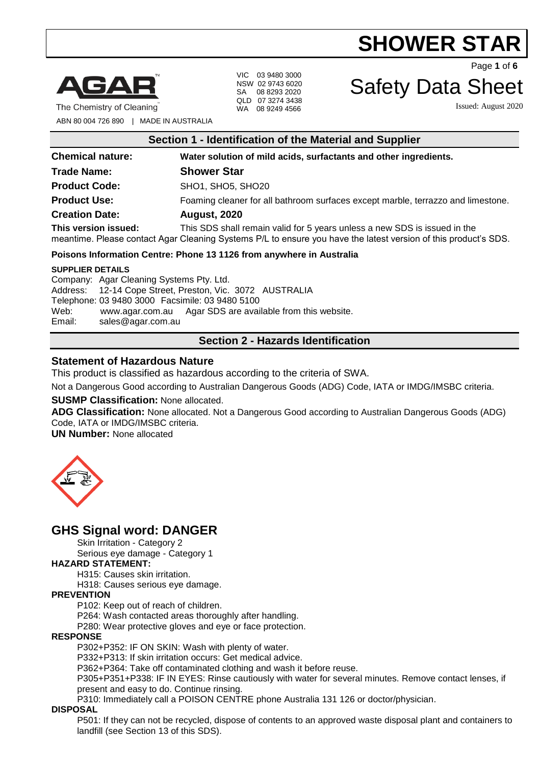

The Chemistry of Cleaning

VIC 03 9480 3000 NSW 02 9743 6020 SA 08 8293 2020 QLD 07 3274 3438 WA 08 9249 4566

Page **1** of **6**

# Safety Data Sheet

Issued: August 2020

ABN 80 004 726 890 | MADE IN AUSTRALIA

| Section 1 - Identification of the Material and Supplier              |                                                                                                                                                                                              |  |
|----------------------------------------------------------------------|----------------------------------------------------------------------------------------------------------------------------------------------------------------------------------------------|--|
| <b>Chemical nature:</b>                                              | Water solution of mild acids, surfactants and other ingredients.                                                                                                                             |  |
| <b>Trade Name:</b>                                                   | <b>Shower Star</b>                                                                                                                                                                           |  |
| <b>Product Code:</b>                                                 | SHO1, SHO5, SHO20                                                                                                                                                                            |  |
| <b>Product Use:</b>                                                  | Foaming cleaner for all bathroom surfaces except marble, terrazzo and limestone.                                                                                                             |  |
| <b>Creation Date:</b>                                                | <b>August, 2020</b>                                                                                                                                                                          |  |
| This version issued:                                                 | This SDS shall remain valid for 5 years unless a new SDS is issued in the<br>meantime. Please contact Agar Cleaning Systems P/L to ensure you have the latest version of this product's SDS. |  |
| Poisons Information Centre: Phone 13 1126 from anywhere in Australia |                                                                                                                                                                                              |  |
| <b>SUPPLIER DETAILS</b><br>Company: Agar Cleaning Systems Pty. Ltd.  | Address: 12.14 Cope Street Preston Vic. 2072, ALISTRALIA                                                                                                                                     |  |

Address: 12-14 Cope Street, Preston, Vic. 3072 AUSTRALIA Telephone: 03 9480 3000 Facsimile: 03 9480 5100 Web: [www.agar.com.au](http://www.agar.com.au/) Agar SDS are available from this website. Email: [sales@agar.com.au](mailto:sales@agar.com.au)

# **Section 2 - Hazards Identification**

# **Statement of Hazardous Nature**

This product is classified as hazardous according to the criteria of SWA.

Not a Dangerous Good according to Australian Dangerous Goods (ADG) Code, IATA or IMDG/IMSBC criteria.

#### **SUSMP Classification:** None allocated.

**ADG Classification:** None allocated. Not a Dangerous Good according to Australian Dangerous Goods (ADG) Code, IATA or IMDG/IMSBC criteria.

**UN Number:** None allocated



# **GHS Signal word: DANGER**

Skin Irritation - Category 2

Serious eye damage - Category 1

### **HAZARD STATEMENT:**

H315: Causes skin irritation.

H318: Causes serious eye damage.

### **PREVENTION**

P102: Keep out of reach of children.

P264: Wash contacted areas thoroughly after handling.

P280: Wear protective gloves and eye or face protection.

#### **RESPONSE**

P302+P352: IF ON SKIN: Wash with plenty of water.

P332+P313: If skin irritation occurs: Get medical advice.

P362+P364: Take off contaminated clothing and wash it before reuse.

P305+P351+P338: IF IN EYES: Rinse cautiously with water for several minutes. Remove contact lenses, if present and easy to do. Continue rinsing.

P310: Immediately call a POISON CENTRE phone Australia 131 126 or doctor/physician.

#### **DISPOSAL**

P501: If they can not be recycled, dispose of contents to an approved waste disposal plant and containers to landfill (see Section 13 of this SDS).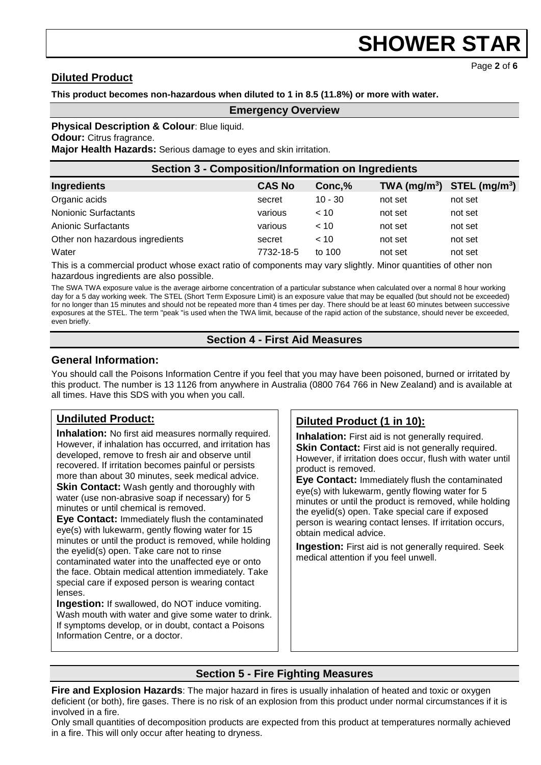Page **2** of **6**

# **Diluted Product**

# **This product becomes non-hazardous when diluted to 1 in 8.5 (11.8%) or more with water.**

### **Emergency Overview**

**Physical Description & Colour: Blue liquid.** 

**Odour:** Citrus fragrance.

**Major Health Hazards:** Serious damage to eyes and skin irritation.

| Section 3 - Composition/Information on Ingredients |               |           |                                |         |  |
|----------------------------------------------------|---------------|-----------|--------------------------------|---------|--|
| Ingredients                                        | <b>CAS No</b> | Conc,%    | TWA $(mg/m^3)$ STEL $(mg/m^3)$ |         |  |
| Organic acids                                      | secret        | $10 - 30$ | not set                        | not set |  |
| <b>Nonionic Surfactants</b>                        | various       | < 10      | not set                        | not set |  |
| Anionic Surfactants                                | various       | < 10      | not set                        | not set |  |
| Other non hazardous ingredients                    | secret        | < 10      | not set                        | not set |  |
| Water                                              | 7732-18-5     | to 100    | not set                        | not set |  |

This is a commercial product whose exact ratio of components may vary slightly. Minor quantities of other non hazardous ingredients are also possible.

The SWA TWA exposure value is the average airborne concentration of a particular substance when calculated over a normal 8 hour working day for a 5 day working week. The STEL (Short Term Exposure Limit) is an exposure value that may be equalled (but should not be exceeded) for no longer than 15 minutes and should not be repeated more than 4 times per day. There should be at least 60 minutes between successive exposures at the STEL. The term "peak "is used when the TWA limit, because of the rapid action of the substance, should never be exceeded, even briefly.

# **Section 4 - First Aid Measures**

# **General Information:**

You should call the Poisons Information Centre if you feel that you may have been poisoned, burned or irritated by this product. The number is 13 1126 from anywhere in Australia (0800 764 766 in New Zealand) and is available at all times. Have this SDS with you when you call.

# **Undiluted Product:**

**Inhalation:** No first aid measures normally required. However, if inhalation has occurred, and irritation has developed, remove to fresh air and observe until recovered. If irritation becomes painful or persists more than about 30 minutes, seek medical advice. **Skin Contact:** Wash gently and thoroughly with water (use non-abrasive soap if necessary) for 5 minutes or until chemical is removed.

**Eye Contact:** Immediately flush the contaminated eye(s) with lukewarm, gently flowing water for 15 minutes or until the product is removed, while holding the eyelid(s) open. Take care not to rinse contaminated water into the unaffected eye or onto the face. Obtain medical attention immediately. Take special care if exposed person is wearing contact lenses.

**Ingestion:** If swallowed, do NOT induce vomiting. Wash mouth with water and give some water to drink. If symptoms develop, or in doubt, contact a Poisons Information Centre, or a doctor.

# **Diluted Product (1 in 10):**

**Inhalation:** First aid is not generally required. **Skin Contact:** First aid is not generally required. However, if irritation does occur, flush with water until product is removed.

**Eye Contact:** Immediately flush the contaminated eye(s) with lukewarm, gently flowing water for 5 minutes or until the product is removed, while holding the eyelid(s) open. Take special care if exposed person is wearing contact lenses. If irritation occurs, obtain medical advice.

**Ingestion:** First aid is not generally required. Seek medical attention if you feel unwell.

# **Section 5 - Fire Fighting Measures**

**Fire and Explosion Hazards**: The major hazard in fires is usually inhalation of heated and toxic or oxygen deficient (or both), fire gases. There is no risk of an explosion from this product under normal circumstances if it is involved in a fire.

Only small quantities of decomposition products are expected from this product at temperatures normally achieved in a fire. This will only occur after heating to dryness.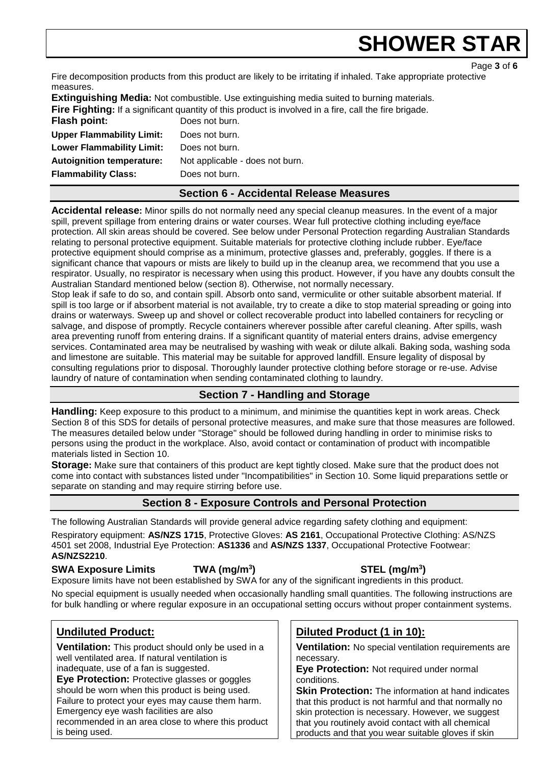Page **3** of **6**

Fire decomposition products from this product are likely to be irritating if inhaled. Take appropriate protective measures.

**Extinguishing Media:** Not combustible. Use extinguishing media suited to burning materials. **Fire Fighting:** If a significant quantity of this product is involved in a fire, call the fire brigade. **Flash point:** Does not burn. **Upper Flammability Limit:** Does not burn. **Lower Flammability Limit:** Does not burn. **Autoignition temperature:** Not applicable - does not burn. **Flammability Class:** Does not burn.

# **Section 6 - Accidental Release Measures**

**Accidental release:** Minor spills do not normally need any special cleanup measures. In the event of a major spill, prevent spillage from entering drains or water courses. Wear full protective clothing including eye/face protection. All skin areas should be covered. See below under Personal Protection regarding Australian Standards relating to personal protective equipment. Suitable materials for protective clothing include rubber. Eye/face protective equipment should comprise as a minimum, protective glasses and, preferably, goggles. If there is a significant chance that vapours or mists are likely to build up in the cleanup area, we recommend that you use a respirator. Usually, no respirator is necessary when using this product. However, if you have any doubts consult the Australian Standard mentioned below (section 8). Otherwise, not normally necessary.

Stop leak if safe to do so, and contain spill. Absorb onto sand, vermiculite or other suitable absorbent material. If spill is too large or if absorbent material is not available, try to create a dike to stop material spreading or going into drains or waterways. Sweep up and shovel or collect recoverable product into labelled containers for recycling or salvage, and dispose of promptly. Recycle containers wherever possible after careful cleaning. After spills, wash area preventing runoff from entering drains. If a significant quantity of material enters drains, advise emergency services. Contaminated area may be neutralised by washing with weak or dilute alkali. Baking soda, washing soda and limestone are suitable. This material may be suitable for approved landfill. Ensure legality of disposal by consulting regulations prior to disposal. Thoroughly launder protective clothing before storage or re-use. Advise laundry of nature of contamination when sending contaminated clothing to laundry.

# **Section 7 - Handling and Storage**

**Handling:** Keep exposure to this product to a minimum, and minimise the quantities kept in work areas. Check Section 8 of this SDS for details of personal protective measures, and make sure that those measures are followed. The measures detailed below under "Storage" should be followed during handling in order to minimise risks to persons using the product in the workplace. Also, avoid contact or contamination of product with incompatible materials listed in Section 10.

**Storage:** Make sure that containers of this product are kept tightly closed. Make sure that the product does not come into contact with substances listed under "Incompatibilities" in Section 10. Some liquid preparations settle or separate on standing and may require stirring before use.

# **Section 8 - Exposure Controls and Personal Protection**

The following Australian Standards will provide general advice regarding safety clothing and equipment: Respiratory equipment: **AS/NZS 1715**, Protective Gloves: **AS 2161**, Occupational Protective Clothing: AS/NZS 4501 set 2008, Industrial Eye Protection: **AS1336** and **AS/NZS 1337**, Occupational Protective Footwear: **AS/NZS2210**.

# **SWA Exposure Limits TWA (mg/m<sup>3</sup>**

# **) STEL (mg/m<sup>3</sup> )**

Exposure limits have not been established by SWA for any of the significant ingredients in this product.

No special equipment is usually needed when occasionally handling small quantities. The following instructions are for bulk handling or where regular exposure in an occupational setting occurs without proper containment systems.

# **Undiluted Product:**

**Ventilation:** This product should only be used in a well ventilated area. If natural ventilation is inadequate, use of a fan is suggested.

**Eye Protection:** Protective glasses or goggles should be worn when this product is being used. Failure to protect your eyes may cause them harm. Emergency eye wash facilities are also

recommended in an area close to where this product is being used.

# **Diluted Product (1 in 10):**

**Ventilation:** No special ventilation requirements are necessary.

**Eye Protection:** Not required under normal conditions.

**Skin Protection:** The information at hand indicates that this product is not harmful and that normally no skin protection is necessary. However, we suggest that you routinely avoid contact with all chemical products and that you wear suitable gloves if skin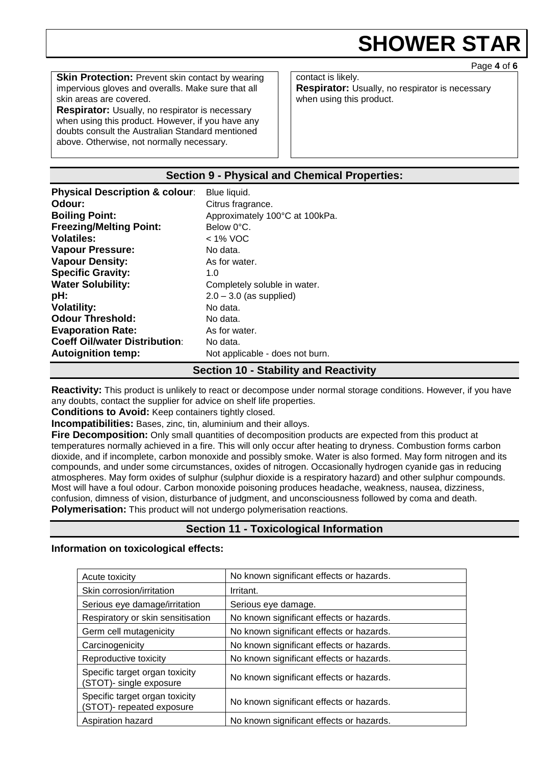Page **4** of **6**

**Skin Protection:** Prevent skin contact by wearing impervious gloves and overalls. Make sure that all skin areas are covered.

**Respirator:** Usually, no respirator is necessary when using this product. However, if you have any doubts consult the Australian Standard mentioned above. Otherwise, not normally necessary.

contact is likely. **Respirator:** Usually, no respirator is necessary when using this product.

# **Section 9 - Physical and Chemical Properties:**

| <b>Physical Description &amp; colour:</b> | Blue liquid.                    |
|-------------------------------------------|---------------------------------|
| Odour:                                    | Citrus fragrance.               |
| <b>Boiling Point:</b>                     | Approximately 100°C at 100kPa.  |
| <b>Freezing/Melting Point:</b>            | Below 0°C.                      |
| <b>Volatiles:</b>                         | $<$ 1% VOC                      |
| <b>Vapour Pressure:</b>                   | No data.                        |
| <b>Vapour Density:</b>                    | As for water.                   |
| <b>Specific Gravity:</b>                  | 1. $\Omega$                     |
| <b>Water Solubility:</b>                  | Completely soluble in water.    |
| pH:                                       | $2.0 - 3.0$ (as supplied)       |
| <b>Volatility:</b>                        | No data.                        |
| <b>Odour Threshold:</b>                   | No data.                        |
| <b>Evaporation Rate:</b>                  | As for water.                   |
| <b>Coeff Oil/water Distribution:</b>      | No data.                        |
| <b>Autoignition temp:</b>                 | Not applicable - does not burn. |

# **Section 10 - Stability and Reactivity**

**Reactivity:** This product is unlikely to react or decompose under normal storage conditions. However, if you have any doubts, contact the supplier for advice on shelf life properties.

**Conditions to Avoid:** Keep containers tightly closed.

**Incompatibilities:** Bases, zinc, tin, aluminium and their alloys.

**Fire Decomposition:** Only small quantities of decomposition products are expected from this product at temperatures normally achieved in a fire. This will only occur after heating to dryness. Combustion forms carbon dioxide, and if incomplete, carbon monoxide and possibly smoke. Water is also formed. May form nitrogen and its compounds, and under some circumstances, oxides of nitrogen. Occasionally hydrogen cyanide gas in reducing atmospheres. May form oxides of sulphur (sulphur dioxide is a respiratory hazard) and other sulphur compounds. Most will have a foul odour. Carbon monoxide poisoning produces headache, weakness, nausea, dizziness, confusion, dimness of vision, disturbance of judgment, and unconsciousness followed by coma and death. **Polymerisation:** This product will not undergo polymerisation reactions.

# **Section 11 - Toxicological Information**

#### **Information on toxicological effects:**

| Acute toxicity                                              | No known significant effects or hazards. |
|-------------------------------------------------------------|------------------------------------------|
| Skin corrosion/irritation                                   | Irritant.                                |
| Serious eye damage/irritation                               | Serious eye damage.                      |
| Respiratory or skin sensitisation                           | No known significant effects or hazards. |
| Germ cell mutagenicity                                      | No known significant effects or hazards. |
| Carcinogenicity                                             | No known significant effects or hazards. |
| Reproductive toxicity                                       | No known significant effects or hazards. |
| Specific target organ toxicity<br>(STOT)- single exposure   | No known significant effects or hazards. |
| Specific target organ toxicity<br>(STOT)- repeated exposure | No known significant effects or hazards. |
| Aspiration hazard                                           | No known significant effects or hazards. |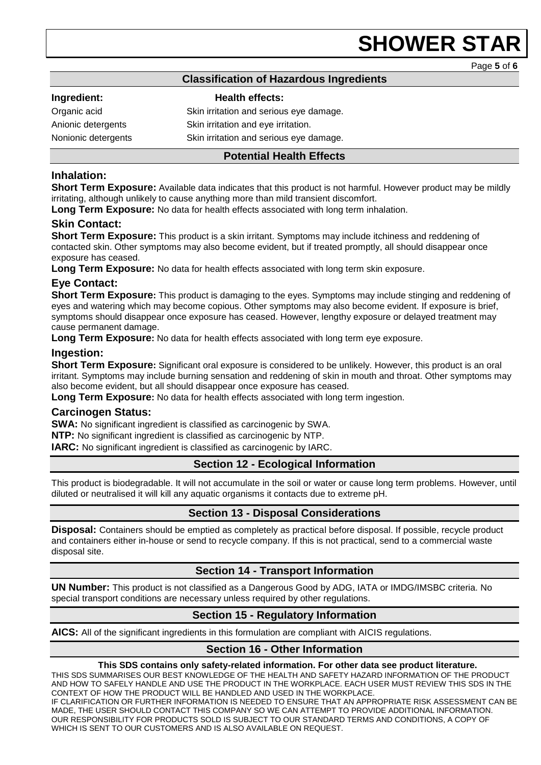Page **5** of **6**

# **Classification of Hazardous Ingredients**

### **Ingredient: Health effects:**

Organic acid **Skin irritation and serious eye damage.** Anionic detergents Skin irritation and eye irritation. Nonionic detergents Skin irritation and serious eye damage.

### **Potential Health Effects**

# **Inhalation:**

**Short Term Exposure:** Available data indicates that this product is not harmful. However product may be mildly irritating, although unlikely to cause anything more than mild transient discomfort.

**Long Term Exposure:** No data for health effects associated with long term inhalation.

### **Skin Contact:**

**Short Term Exposure:** This product is a skin irritant. Symptoms may include itchiness and reddening of contacted skin. Other symptoms may also become evident, but if treated promptly, all should disappear once exposure has ceased.

**Long Term Exposure:** No data for health effects associated with long term skin exposure.

### **Eye Contact:**

**Short Term Exposure:** This product is damaging to the eyes. Symptoms may include stinging and reddening of eyes and watering which may become copious. Other symptoms may also become evident. If exposure is brief, symptoms should disappear once exposure has ceased. However, lengthy exposure or delayed treatment may cause permanent damage.

**Long Term Exposure:** No data for health effects associated with long term eye exposure.

### **Ingestion:**

**Short Term Exposure:** Significant oral exposure is considered to be unlikely. However, this product is an oral irritant. Symptoms may include burning sensation and reddening of skin in mouth and throat. Other symptoms may also become evident, but all should disappear once exposure has ceased.

**Long Term Exposure:** No data for health effects associated with long term ingestion.

#### **Carcinogen Status:**

**SWA:** No significant ingredient is classified as carcinogenic by SWA.

**NTP:** No significant ingredient is classified as carcinogenic by NTP.

**IARC:** No significant ingredient is classified as carcinogenic by IARC.

# **Section 12 - Ecological Information**

This product is biodegradable. It will not accumulate in the soil or water or cause long term problems. However, until diluted or neutralised it will kill any aquatic organisms it contacts due to extreme pH.

# **Section 13 - Disposal Considerations**

**Disposal:** Containers should be emptied as completely as practical before disposal. If possible, recycle product and containers either in-house or send to recycle company. If this is not practical, send to a commercial waste disposal site.

# **Section 14 - Transport Information**

**UN Number:** This product is not classified as a Dangerous Good by ADG, IATA or IMDG/IMSBC criteria. No special transport conditions are necessary unless required by other regulations.

# **Section 15 - Regulatory Information**

**AICS:** All of the significant ingredients in this formulation are compliant with AICIS regulations.

# **Section 16 - Other Information**

**This SDS contains only safety-related information. For other data see product literature.**

THIS SDS SUMMARISES OUR BEST KNOWLEDGE OF THE HEALTH AND SAFETY HAZARD INFORMATION OF THE PRODUCT AND HOW TO SAFELY HANDLE AND USE THE PRODUCT IN THE WORKPLACE. EACH USER MUST REVIEW THIS SDS IN THE CONTEXT OF HOW THE PRODUCT WILL BE HANDLED AND USED IN THE WORKPLACE.

IF CLARIFICATION OR FURTHER INFORMATION IS NEEDED TO ENSURE THAT AN APPROPRIATE RISK ASSESSMENT CAN BE MADE, THE USER SHOULD CONTACT THIS COMPANY SO WE CAN ATTEMPT TO PROVIDE ADDITIONAL INFORMATION. OUR RESPONSIBILITY FOR PRODUCTS SOLD IS SUBJECT TO OUR STANDARD TERMS AND CONDITIONS, A COPY OF WHICH IS SENT TO OUR CUSTOMERS AND IS ALSO AVAILABLE ON REQUEST.